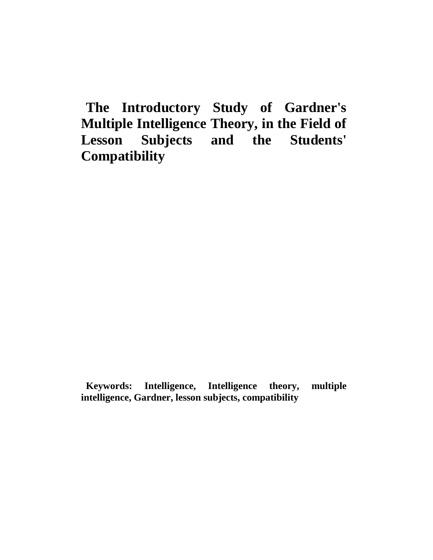**The Introductory Study of Gardner's Multiple Intelligence Theory, in the Field of Lesson Subjects and the Students' Compatibility** 

**Keywords: Intelligence, Intelligence theory, multiple intelligence, Gardner, lesson subjects, compatibility**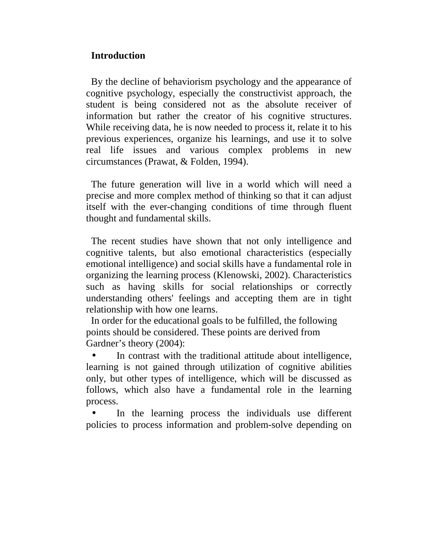# **Introduction**

By the decline of behaviorism psychology and the appearance of cognitive psychology, especially the constructivist approach, the student is being considered not as the absolute receiver of information but rather the creator of his cognitive structures. While receiving data, he is now needed to process it, relate it to his previous experiences, organize his learnings, and use it to solve real life issues and various complex problems in new circumstances (Prawat, & Folden, 1994).

The future generation will live in a world which will need a precise and more complex method of thinking so that it can adjust itself with the ever-changing conditions of time through fluent thought and fundamental skills.

The recent studies have shown that not only intelligence and cognitive talents, but also emotional characteristics (especially emotional intelligence) and social skills have a fundamental role in organizing the learning process (Klenowski, 2002). Characteristics such as having skills for social relationships or correctly understanding others' feelings and accepting them are in tight relationship with how one learns.

In order for the educational goals to be fulfilled, the following points should be considered. These points are derived from Gardner's theory (2004):

In contrast with the traditional attitude about intelligence, learning is not gained through utilization of cognitive abilities only, but other types of intelligence, which will be discussed as follows, which also have a fundamental role in the learning process.

In the learning process the individuals use different policies to process information and problem-solve depending on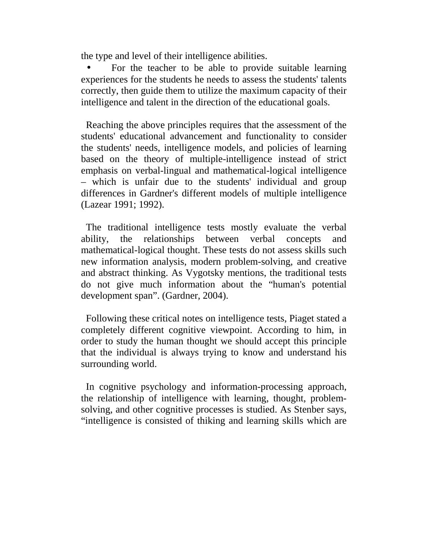the type and level of their intelligence abilities.

• For the teacher to be able to provide suitable learning experiences for the students he needs to assess the students' talents correctly, then guide them to utilize the maximum capacity of their intelligence and talent in the direction of the educational goals.

Reaching the above principles requires that the assessment of the students' educational advancement and functionality to consider the students' needs, intelligence models, and policies of learning based on the theory of multiple-intelligence instead of strict emphasis on verbal-lingual and mathematical-logical intelligence – which is unfair due to the students' individual and group differences in Gardner's different models of multiple intelligence (Lazear 1991; 1992).

The traditional intelligence tests mostly evaluate the verbal ability, the relationships between verbal concepts and mathematical-logical thought. These tests do not assess skills such new information analysis, modern problem-solving, and creative and abstract thinking. As Vygotsky mentions, the traditional tests do not give much information about the "human's potential development span". (Gardner, 2004).

Following these critical notes on intelligence tests, Piaget stated a completely different cognitive viewpoint. According to him, in order to study the human thought we should accept this principle that the individual is always trying to know and understand his surrounding world.

In cognitive psychology and information-processing approach, the relationship of intelligence with learning, thought, problemsolving, and other cognitive processes is studied. As Stenber says, "intelligence is consisted of thiking and learning skills which are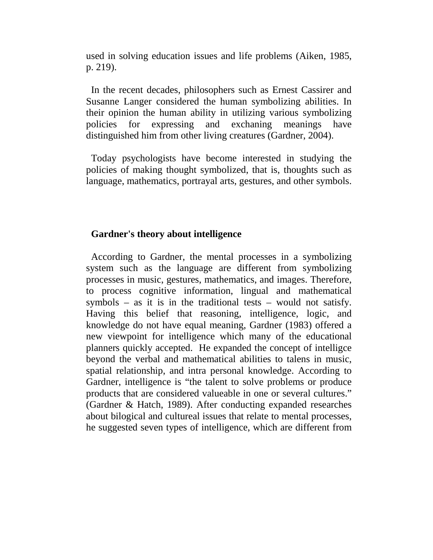used in solving education issues and life problems (Aiken, 1985, p. 219).

In the recent decades, philosophers such as Ernest Cassirer and Susanne Langer considered the human symbolizing abilities. In their opinion the human ability in utilizing various symbolizing policies for expressing and exchaning meanings have distinguished him from other living creatures (Gardner, 2004).

Today psychologists have become interested in studying the policies of making thought symbolized, that is, thoughts such as language, mathematics, portrayal arts, gestures, and other symbols.

#### **Gardner's theory about intelligence**

According to Gardner, the mental processes in a symbolizing system such as the language are different from symbolizing processes in music, gestures, mathematics, and images. Therefore, to process cognitive information, lingual and mathematical symbols – as it is in the traditional tests – would not satisfy. Having this belief that reasoning, intelligence, logic, and knowledge do not have equal meaning, Gardner (1983) offered a new viewpoint for intelligence which many of the educational planners quickly accepted. He expanded the concept of intelligce beyond the verbal and mathematical abilities to talens in music, spatial relationship, and intra personal knowledge. According to Gardner, intelligence is "the talent to solve problems or produce products that are considered valueable in one or several cultures." (Gardner & Hatch, 1989). After conducting expanded researches about bilogical and cultureal issues that relate to mental processes, he suggested seven types of intelligence, which are different from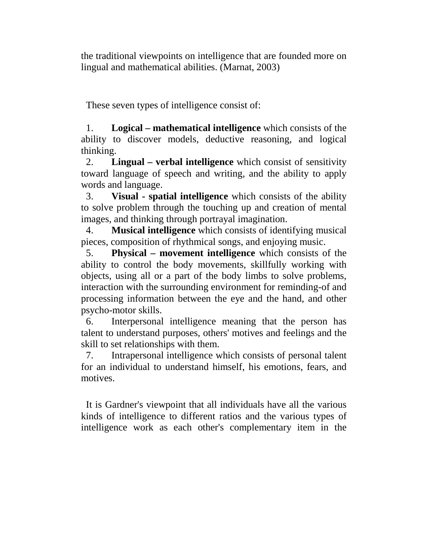the traditional viewpoints on intelligence that are founded more on lingual and mathematical abilities. (Marnat, 2003)

These seven types of intelligence consist of:

1. **Logical – mathematical intelligence** which consists of the ability to discover models, deductive reasoning, and logical thinking.

2. **Lingual – verbal intelligence** which consist of sensitivity toward language of speech and writing, and the ability to apply words and language.

3. **Visual - spatial intelligence** which consists of the ability to solve problem through the touching up and creation of mental images, and thinking through portrayal imagination.

4. **Musical intelligence** which consists of identifying musical pieces, composition of rhythmical songs, and enjoying music.

5. **Physical – movement intelligence** which consists of the ability to control the body movements, skillfully working with objects, using all or a part of the body limbs to solve problems, interaction with the surrounding environment for reminding-of and processing information between the eye and the hand, and other psycho-motor skills.

6. Interpersonal intelligence meaning that the person has talent to understand purposes, others' motives and feelings and the skill to set relationships with them.

7. Intrapersonal intelligence which consists of personal talent for an individual to understand himself, his emotions, fears, and motives.

It is Gardner's viewpoint that all individuals have all the various kinds of intelligence to different ratios and the various types of intelligence work as each other's complementary item in the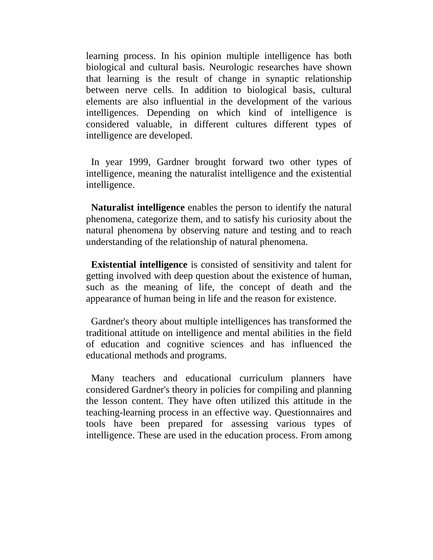learning process. In his opinion multiple intelligence has both biological and cultural basis. Neurologic researches have shown that learning is the result of change in synaptic relationship between nerve cells. In addition to biological basis, cultural elements are also influential in the development of the various intelligences. Depending on which kind of intelligence is considered valuable, in different cultures different types of intelligence are developed.

In year 1999, Gardner brought forward two other types of intelligence, meaning the naturalist intelligence and the existential intelligence.

**Naturalist intelligence** enables the person to identify the natural phenomena, categorize them, and to satisfy his curiosity about the natural phenomena by observing nature and testing and to reach understanding of the relationship of natural phenomena.

**Existential intelligence** is consisted of sensitivity and talent for getting involved with deep question about the existence of human, such as the meaning of life, the concept of death and the appearance of human being in life and the reason for existence.

Gardner's theory about multiple intelligences has transformed the traditional attitude on intelligence and mental abilities in the field of education and cognitive sciences and has influenced the educational methods and programs.

Many teachers and educational curriculum planners have considered Gardner's theory in policies for compiling and planning the lesson content. They have often utilized this attitude in the teaching-learning process in an effective way. Questionnaires and tools have been prepared for assessing various types of intelligence. These are used in the education process. From among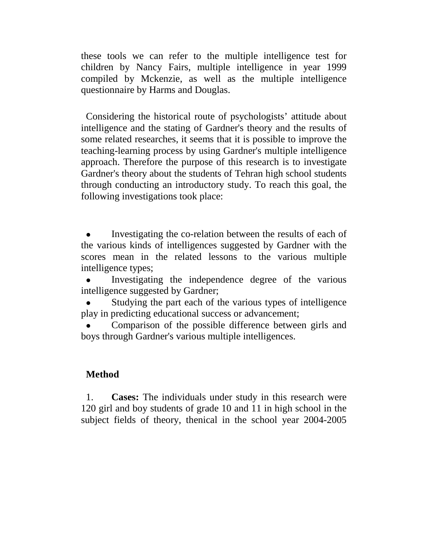these tools we can refer to the multiple intelligence test for children by Nancy Fairs, multiple intelligence in year 1999 compiled by Mckenzie, as well as the multiple intelligence questionnaire by Harms and Douglas.

Considering the historical route of psychologists' attitude about intelligence and the stating of Gardner's theory and the results of some related researches, it seems that it is possible to improve the teaching-learning process by using Gardner's multiple intelligence approach. Therefore the purpose of this research is to investigate Gardner's theory about the students of Tehran high school students through conducting an introductory study. To reach this goal, the following investigations took place:

 Investigating the co-relation between the results of each of the various kinds of intelligences suggested by Gardner with the scores mean in the related lessons to the various multiple intelligence types;

 Investigating the independence degree of the various intelligence suggested by Gardner;

 Studying the part each of the various types of intelligence play in predicting educational success or advancement;

 Comparison of the possible difference between girls and boys through Gardner's various multiple intelligences.

## **Method**

1. **Cases:** The individuals under study in this research were 120 girl and boy students of grade 10 and 11 in high school in the subject fields of theory, thenical in the school year 2004-2005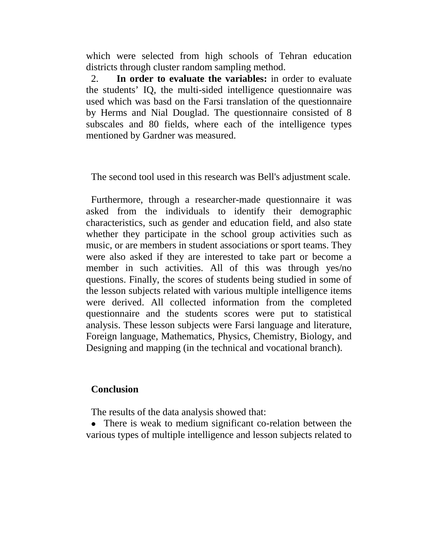which were selected from high schools of Tehran education districts through cluster random sampling method.

2. **In order to evaluate the variables:** in order to evaluate the students' IQ, the multi-sided intelligence questionnaire was used which was basd on the Farsi translation of the questionnaire by Herms and Nial Douglad. The questionnaire consisted of 8 subscales and 80 fields, where each of the intelligence types mentioned by Gardner was measured.

The second tool used in this research was Bell's adjustment scale.

Furthermore, through a researcher-made questionnaire it was asked from the individuals to identify their demographic characteristics, such as gender and education field, and also state whether they participate in the school group activities such as music, or are members in student associations or sport teams. They were also asked if they are interested to take part or become a member in such activities. All of this was through yes/no questions. Finally, the scores of students being studied in some of the lesson subjects related with various multiple intelligence items were derived. All collected information from the completed questionnaire and the students scores were put to statistical analysis. These lesson subjects were Farsi language and literature, Foreign language, Mathematics, Physics, Chemistry, Biology, and Designing and mapping (in the technical and vocational branch).

## **Conclusion**

The results of the data analysis showed that:

• There is weak to medium significant co-relation between the various types of multiple intelligence and lesson subjects related to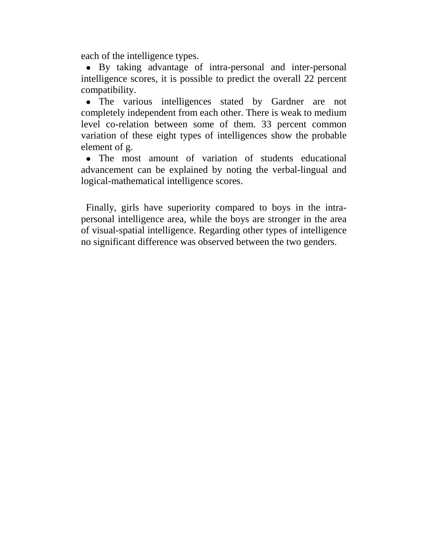each of the intelligence types.

 By taking advantage of intra-personal and inter-personal intelligence scores, it is possible to predict the overall 22 percent compatibility.

• The various intelligences stated by Gardner are not completely independent from each other. There is weak to medium level co-relation between some of them. 33 percent common variation of these eight types of intelligences show the probable element of g.

 The most amount of variation of students educational advancement can be explained by noting the verbal-lingual and logical-mathematical intelligence scores.

Finally, girls have superiority compared to boys in the intrapersonal intelligence area, while the boys are stronger in the area of visual-spatial intelligence. Regarding other types of intelligence no significant difference was observed between the two genders.